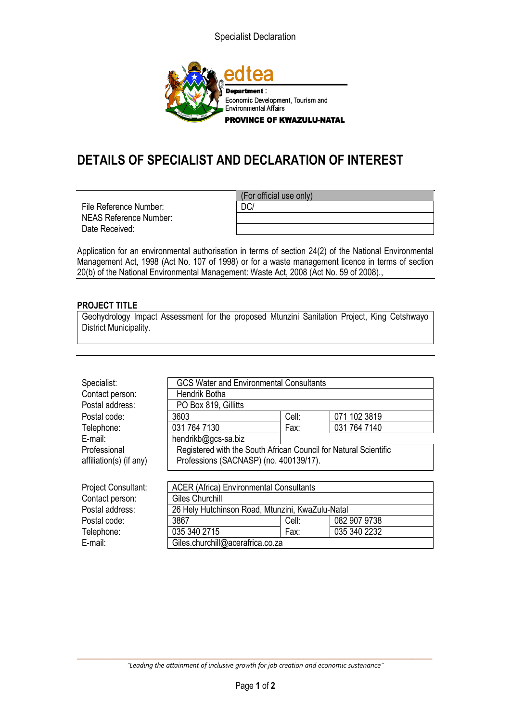Specialist Declaration



## **DETAILS OF SPECIALIST AND DECLARATION OF INTEREST**

File Reference Number:  $\qquad$  DC/ NEAS Reference Number: Date Received:

(For official use only)

Application for an environmental authorisation in terms of section 24(2) of the National Environmental Management Act, 1998 (Act No. 107 of 1998) or for a waste management licence in terms of section 20(b) of the National Environmental Management: Waste Act, 2008 (Act No. 59 of 2008).,

## **PROJECT TITLE**

Geohydrology Impact Assessment for the proposed Mtunzini Sanitation Project, King Cetshwayo District Municipality.

| Specialist:                | <b>GCS Water and Environmental Consultants</b>                   |       |              |
|----------------------------|------------------------------------------------------------------|-------|--------------|
| Contact person:            | Hendrik Botha                                                    |       |              |
| Postal address:            | PO Box 819, Gillitts                                             |       |              |
| Postal code:               | 3603                                                             | Cell: | 071 102 3819 |
| Telephone:                 | 031 764 7130                                                     | Fax:  | 031 764 7140 |
| E-mail:                    | hendrikb@gcs-sa.biz                                              |       |              |
| Professional               | Registered with the South African Council for Natural Scientific |       |              |
| affiliation(s) (if any)    | Professions (SACNASP) (no. 400139/17).                           |       |              |
|                            |                                                                  |       |              |
| <b>Project Consultant:</b> | <b>ACER (Africa) Environmental Consultants</b>                   |       |              |
| Contact person:            | <b>Giles Churchill</b>                                           |       |              |
| Postal address:            | 26 Hely Hutchinson Road, Mtunzini, KwaZulu-Natal                 |       |              |
| Postal code:               | 3867                                                             | Cell: | 082 907 9738 |
| Telephone:                 | 035 340 2715                                                     | Fax:  | 035 340 2232 |
| E-mail:                    | Giles.churchill@acerafrica.co.za                                 |       |              |